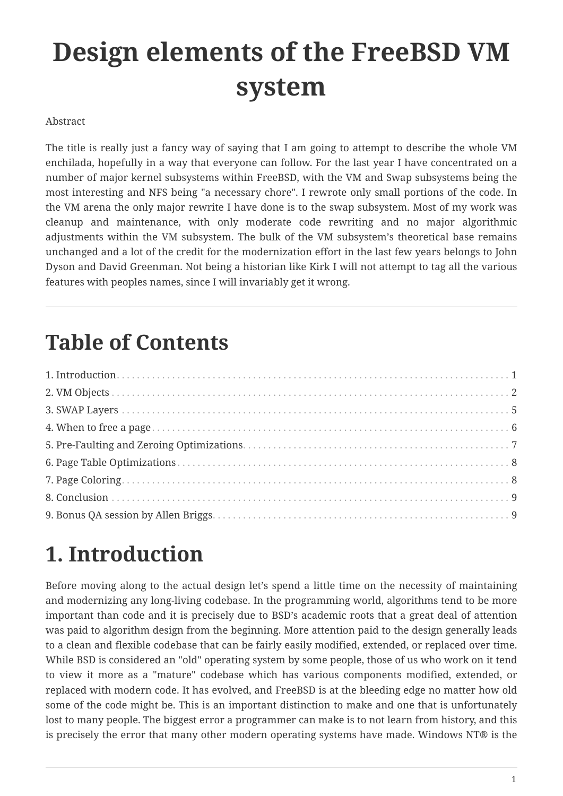# **Design elements of the FreeBSD VM system**

#### Abstract

The title is really just a fancy way of saying that I am going to attempt to describe the whole VM enchilada, hopefully in a way that everyone can follow. For the last year I have concentrated on a number of major kernel subsystems within FreeBSD, with the VM and Swap subsystems being the most interesting and NFS being "a necessary chore". I rewrote only small portions of the code. In the VM arena the only major rewrite I have done is to the swap subsystem. Most of my work was cleanup and maintenance, with only moderate code rewriting and no major algorithmic adjustments within the VM subsystem. The bulk of the VM subsystem's theoretical base remains unchanged and a lot of the credit for the modernization effort in the last few years belongs to John Dyson and David Greenman. Not being a historian like Kirk I will not attempt to tag all the various features with peoples names, since I will invariably get it wrong.

### **Table of Contents**

### <span id="page-0-0"></span>**1. Introduction**

Before moving along to the actual design let's spend a little time on the necessity of maintaining and modernizing any long-living codebase. In the programming world, algorithms tend to be more important than code and it is precisely due to BSD's academic roots that a great deal of attention was paid to algorithm design from the beginning. More attention paid to the design generally leads to a clean and flexible codebase that can be fairly easily modified, extended, or replaced over time. While BSD is considered an "old" operating system by some people, those of us who work on it tend to view it more as a "mature" codebase which has various components modified, extended, or replaced with modern code. It has evolved, and FreeBSD is at the bleeding edge no matter how old some of the code might be. This is an important distinction to make and one that is unfortunately lost to many people. The biggest error a programmer can make is to not learn from history, and this is precisely the error that many other modern operating systems have made. Windows NT® is the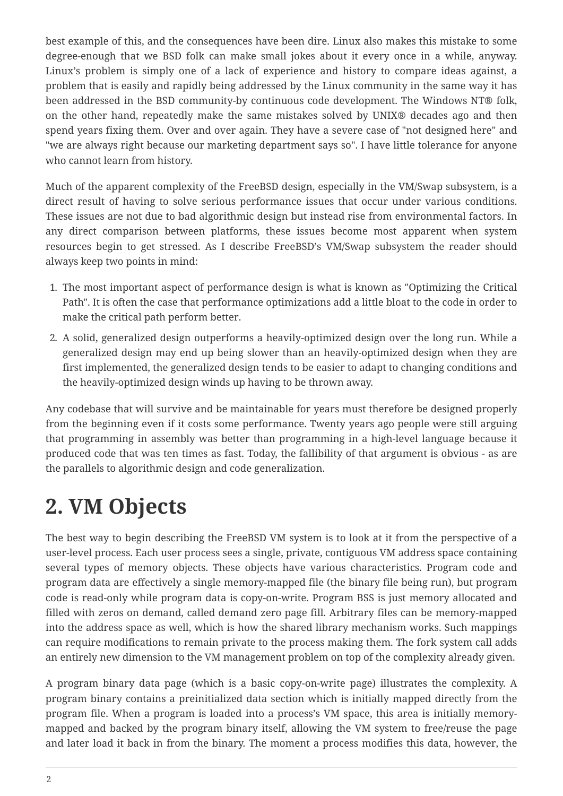best example of this, and the consequences have been dire. Linux also makes this mistake to some degree-enough that we BSD folk can make small jokes about it every once in a while, anyway. Linux's problem is simply one of a lack of experience and history to compare ideas against, a problem that is easily and rapidly being addressed by the Linux community in the same way it has been addressed in the BSD community-by continuous code development. The Windows NT® folk, on the other hand, repeatedly make the same mistakes solved by UNIX® decades ago and then spend years fixing them. Over and over again. They have a severe case of "not designed here" and "we are always right because our marketing department says so". I have little tolerance for anyone who cannot learn from history.

Much of the apparent complexity of the FreeBSD design, especially in the VM/Swap subsystem, is a direct result of having to solve serious performance issues that occur under various conditions. These issues are not due to bad algorithmic design but instead rise from environmental factors. In any direct comparison between platforms, these issues become most apparent when system resources begin to get stressed. As I describe FreeBSD's VM/Swap subsystem the reader should always keep two points in mind:

- 1. The most important aspect of performance design is what is known as "Optimizing the Critical Path". It is often the case that performance optimizations add a little bloat to the code in order to make the critical path perform better.
- 2. A solid, generalized design outperforms a heavily-optimized design over the long run. While a generalized design may end up being slower than an heavily-optimized design when they are first implemented, the generalized design tends to be easier to adapt to changing conditions and the heavily-optimized design winds up having to be thrown away.

Any codebase that will survive and be maintainable for years must therefore be designed properly from the beginning even if it costs some performance. Twenty years ago people were still arguing that programming in assembly was better than programming in a high-level language because it produced code that was ten times as fast. Today, the fallibility of that argument is obvious - as are the parallels to algorithmic design and code generalization.

## <span id="page-1-0"></span>**2. VM Objects**

The best way to begin describing the FreeBSD VM system is to look at it from the perspective of a user-level process. Each user process sees a single, private, contiguous VM address space containing several types of memory objects. These objects have various characteristics. Program code and program data are effectively a single memory-mapped file (the binary file being run), but program code is read-only while program data is copy-on-write. Program BSS is just memory allocated and filled with zeros on demand, called demand zero page fill. Arbitrary files can be memory-mapped into the address space as well, which is how the shared library mechanism works. Such mappings can require modifications to remain private to the process making them. The fork system call adds an entirely new dimension to the VM management problem on top of the complexity already given.

A program binary data page (which is a basic copy-on-write page) illustrates the complexity. A program binary contains a preinitialized data section which is initially mapped directly from the program file. When a program is loaded into a process's VM space, this area is initially memorymapped and backed by the program binary itself, allowing the VM system to free/reuse the page and later load it back in from the binary. The moment a process modifies this data, however, the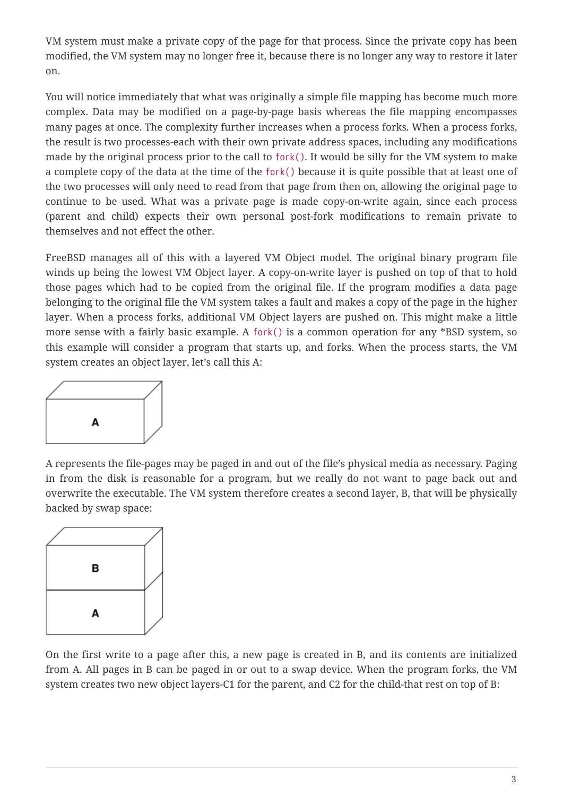VM system must make a private copy of the page for that process. Since the private copy has been modified, the VM system may no longer free it, because there is no longer any way to restore it later on.

You will notice immediately that what was originally a simple file mapping has become much more complex. Data may be modified on a page-by-page basis whereas the file mapping encompasses many pages at once. The complexity further increases when a process forks. When a process forks, the result is two processes-each with their own private address spaces, including any modifications made by the original process prior to the call to fork(). It would be silly for the VM system to make a complete copy of the data at the time of the fork() because it is quite possible that at least one of the two processes will only need to read from that page from then on, allowing the original page to continue to be used. What was a private page is made copy-on-write again, since each process (parent and child) expects their own personal post-fork modifications to remain private to themselves and not effect the other.

FreeBSD manages all of this with a layered VM Object model. The original binary program file winds up being the lowest VM Object layer. A copy-on-write layer is pushed on top of that to hold those pages which had to be copied from the original file. If the program modifies a data page belonging to the original file the VM system takes a fault and makes a copy of the page in the higher layer. When a process forks, additional VM Object layers are pushed on. This might make a little more sense with a fairly basic example. A fork() is a common operation for any \*BSD system, so this example will consider a program that starts up, and forks. When the process starts, the VM system creates an object layer, let's call this A:



A represents the file-pages may be paged in and out of the file's physical media as necessary. Paging in from the disk is reasonable for a program, but we really do not want to page back out and overwrite the executable. The VM system therefore creates a second layer, B, that will be physically backed by swap space:



On the first write to a page after this, a new page is created in B, and its contents are initialized from A. All pages in B can be paged in or out to a swap device. When the program forks, the VM system creates two new object layers-C1 for the parent, and C2 for the child-that rest on top of B: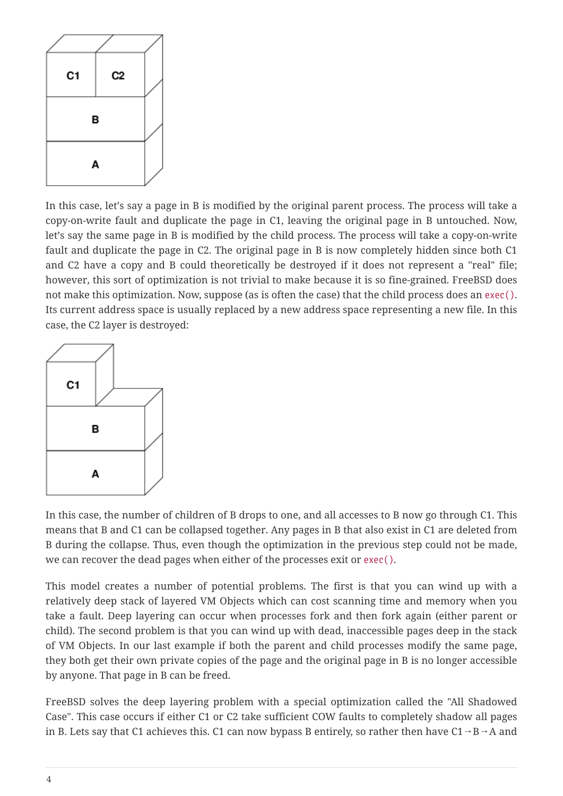

In this case, let's say a page in B is modified by the original parent process. The process will take a copy-on-write fault and duplicate the page in C1, leaving the original page in B untouched. Now, let's say the same page in B is modified by the child process. The process will take a copy-on-write fault and duplicate the page in C2. The original page in B is now completely hidden since both C1 and C2 have a copy and B could theoretically be destroyed if it does not represent a "real" file; however, this sort of optimization is not trivial to make because it is so fine-grained. FreeBSD does not make this optimization. Now, suppose (as is often the case) that the child process does an exec(). Its current address space is usually replaced by a new address space representing a new file. In this case, the C2 layer is destroyed:



In this case, the number of children of B drops to one, and all accesses to B now go through C1. This means that B and C1 can be collapsed together. Any pages in B that also exist in C1 are deleted from B during the collapse. Thus, even though the optimization in the previous step could not be made, we can recover the dead pages when either of the processes exit or exec().

This model creates a number of potential problems. The first is that you can wind up with a relatively deep stack of layered VM Objects which can cost scanning time and memory when you take a fault. Deep layering can occur when processes fork and then fork again (either parent or child). The second problem is that you can wind up with dead, inaccessible pages deep in the stack of VM Objects. In our last example if both the parent and child processes modify the same page, they both get their own private copies of the page and the original page in B is no longer accessible by anyone. That page in B can be freed.

FreeBSD solves the deep layering problem with a special optimization called the "All Shadowed Case". This case occurs if either C1 or C2 take sufficient COW faults to completely shadow all pages in B. Lets say that C1 achieves this. C1 can now bypass B entirely, so rather then have  $C1 \rightarrow B \rightarrow A$  and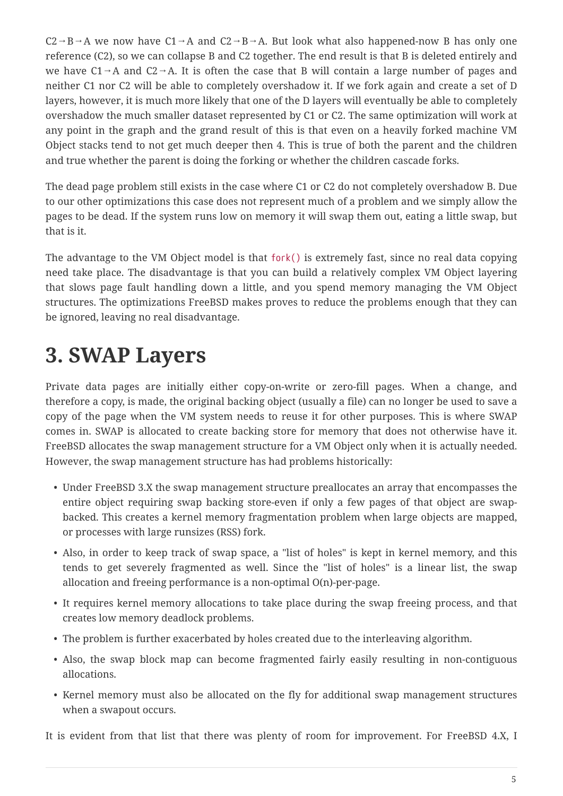$C2 \rightarrow B \rightarrow A$  we now have  $C1 \rightarrow A$  and  $C2 \rightarrow B \rightarrow A$ . But look what also happened-now B has only one reference (C2), so we can collapse B and C2 together. The end result is that B is deleted entirely and we have  $C1 \rightarrow A$  and  $C2 \rightarrow A$ . It is often the case that B will contain a large number of pages and neither C1 nor C2 will be able to completely overshadow it. If we fork again and create a set of D layers, however, it is much more likely that one of the D layers will eventually be able to completely overshadow the much smaller dataset represented by C1 or C2. The same optimization will work at any point in the graph and the grand result of this is that even on a heavily forked machine VM Object stacks tend to not get much deeper then 4. This is true of both the parent and the children and true whether the parent is doing the forking or whether the children cascade forks.

The dead page problem still exists in the case where C1 or C2 do not completely overshadow B. Due to our other optimizations this case does not represent much of a problem and we simply allow the pages to be dead. If the system runs low on memory it will swap them out, eating a little swap, but that is it.

The advantage to the VM Object model is that fork() is extremely fast, since no real data copying need take place. The disadvantage is that you can build a relatively complex VM Object layering that slows page fault handling down a little, and you spend memory managing the VM Object structures. The optimizations FreeBSD makes proves to reduce the problems enough that they can be ignored, leaving no real disadvantage.

## <span id="page-4-0"></span>**3. SWAP Layers**

Private data pages are initially either copy-on-write or zero-fill pages. When a change, and therefore a copy, is made, the original backing object (usually a file) can no longer be used to save a copy of the page when the VM system needs to reuse it for other purposes. This is where SWAP comes in. SWAP is allocated to create backing store for memory that does not otherwise have it. FreeBSD allocates the swap management structure for a VM Object only when it is actually needed. However, the swap management structure has had problems historically:

- Under FreeBSD 3.X the swap management structure preallocates an array that encompasses the entire object requiring swap backing store-even if only a few pages of that object are swapbacked. This creates a kernel memory fragmentation problem when large objects are mapped, or processes with large runsizes (RSS) fork.
- Also, in order to keep track of swap space, a "list of holes" is kept in kernel memory, and this tends to get severely fragmented as well. Since the "list of holes" is a linear list, the swap allocation and freeing performance is a non-optimal O(n)-per-page.
- It requires kernel memory allocations to take place during the swap freeing process, and that creates low memory deadlock problems.
- The problem is further exacerbated by holes created due to the interleaving algorithm.
- Also, the swap block map can become fragmented fairly easily resulting in non-contiguous allocations.
- Kernel memory must also be allocated on the fly for additional swap management structures when a swapout occurs.

It is evident from that list that there was plenty of room for improvement. For FreeBSD 4.X, I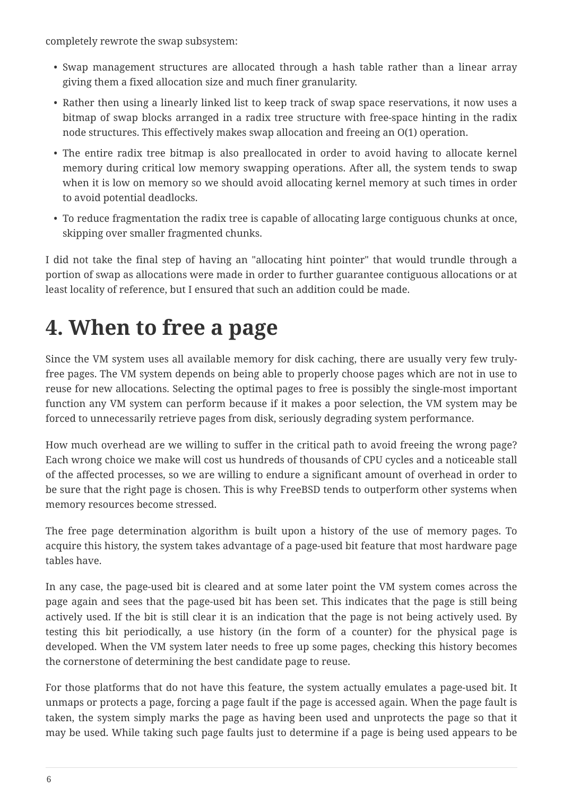completely rewrote the swap subsystem:

- Swap management structures are allocated through a hash table rather than a linear array giving them a fixed allocation size and much finer granularity.
- Rather then using a linearly linked list to keep track of swap space reservations, it now uses a bitmap of swap blocks arranged in a radix tree structure with free-space hinting in the radix node structures. This effectively makes swap allocation and freeing an O(1) operation.
- The entire radix tree bitmap is also preallocated in order to avoid having to allocate kernel memory during critical low memory swapping operations. After all, the system tends to swap when it is low on memory so we should avoid allocating kernel memory at such times in order to avoid potential deadlocks.
- To reduce fragmentation the radix tree is capable of allocating large contiguous chunks at once, skipping over smaller fragmented chunks.

I did not take the final step of having an "allocating hint pointer" that would trundle through a portion of swap as allocations were made in order to further guarantee contiguous allocations or at least locality of reference, but I ensured that such an addition could be made.

## <span id="page-5-0"></span>**4. When to free a page**

Since the VM system uses all available memory for disk caching, there are usually very few trulyfree pages. The VM system depends on being able to properly choose pages which are not in use to reuse for new allocations. Selecting the optimal pages to free is possibly the single-most important function any VM system can perform because if it makes a poor selection, the VM system may be forced to unnecessarily retrieve pages from disk, seriously degrading system performance.

How much overhead are we willing to suffer in the critical path to avoid freeing the wrong page? Each wrong choice we make will cost us hundreds of thousands of CPU cycles and a noticeable stall of the affected processes, so we are willing to endure a significant amount of overhead in order to be sure that the right page is chosen. This is why FreeBSD tends to outperform other systems when memory resources become stressed.

The free page determination algorithm is built upon a history of the use of memory pages. To acquire this history, the system takes advantage of a page-used bit feature that most hardware page tables have.

In any case, the page-used bit is cleared and at some later point the VM system comes across the page again and sees that the page-used bit has been set. This indicates that the page is still being actively used. If the bit is still clear it is an indication that the page is not being actively used. By testing this bit periodically, a use history (in the form of a counter) for the physical page is developed. When the VM system later needs to free up some pages, checking this history becomes the cornerstone of determining the best candidate page to reuse.

For those platforms that do not have this feature, the system actually emulates a page-used bit. It unmaps or protects a page, forcing a page fault if the page is accessed again. When the page fault is taken, the system simply marks the page as having been used and unprotects the page so that it may be used. While taking such page faults just to determine if a page is being used appears to be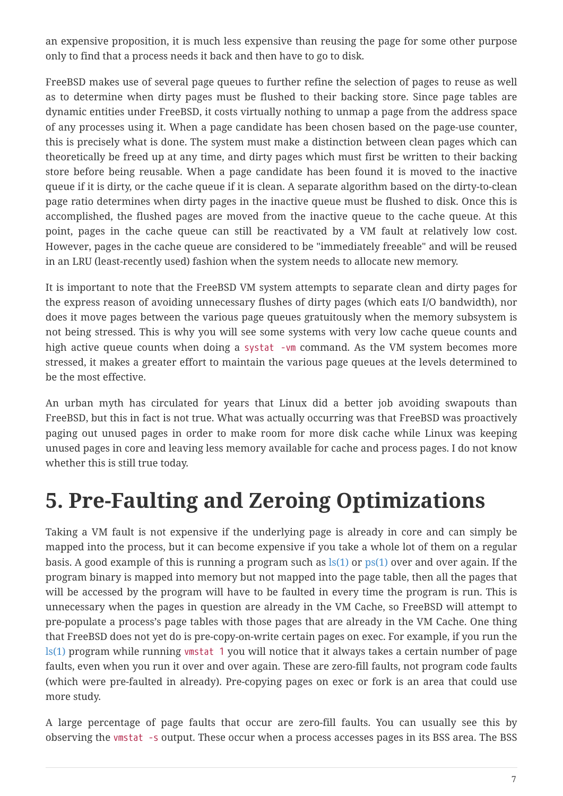an expensive proposition, it is much less expensive than reusing the page for some other purpose only to find that a process needs it back and then have to go to disk.

FreeBSD makes use of several page queues to further refine the selection of pages to reuse as well as to determine when dirty pages must be flushed to their backing store. Since page tables are dynamic entities under FreeBSD, it costs virtually nothing to unmap a page from the address space of any processes using it. When a page candidate has been chosen based on the page-use counter, this is precisely what is done. The system must make a distinction between clean pages which can theoretically be freed up at any time, and dirty pages which must first be written to their backing store before being reusable. When a page candidate has been found it is moved to the inactive queue if it is dirty, or the cache queue if it is clean. A separate algorithm based on the dirty-to-clean page ratio determines when dirty pages in the inactive queue must be flushed to disk. Once this is accomplished, the flushed pages are moved from the inactive queue to the cache queue. At this point, pages in the cache queue can still be reactivated by a VM fault at relatively low cost. However, pages in the cache queue are considered to be "immediately freeable" and will be reused in an LRU (least-recently used) fashion when the system needs to allocate new memory.

It is important to note that the FreeBSD VM system attempts to separate clean and dirty pages for the express reason of avoiding unnecessary flushes of dirty pages (which eats I/O bandwidth), nor does it move pages between the various page queues gratuitously when the memory subsystem is not being stressed. This is why you will see some systems with very low cache queue counts and high active queue counts when doing a systat -vm command. As the VM system becomes more stressed, it makes a greater effort to maintain the various page queues at the levels determined to be the most effective.

An urban myth has circulated for years that Linux did a better job avoiding swapouts than FreeBSD, but this in fact is not true. What was actually occurring was that FreeBSD was proactively paging out unused pages in order to make room for more disk cache while Linux was keeping unused pages in core and leaving less memory available for cache and process pages. I do not know whether this is still true today.

## <span id="page-6-0"></span>**5. Pre-Faulting and Zeroing Optimizations**

Taking a VM fault is not expensive if the underlying page is already in core and can simply be mapped into the process, but it can become expensive if you take a whole lot of them on a regular basis. A good example of this is running a program such as  $\lg(1)$  or  $\lg(1)$  over and over again. If the program binary is mapped into memory but not mapped into the page table, then all the pages that will be accessed by the program will have to be faulted in every time the program is run. This is unnecessary when the pages in question are already in the VM Cache, so FreeBSD will attempt to pre-populate a process's page tables with those pages that are already in the VM Cache. One thing that FreeBSD does not yet do is pre-copy-on-write certain pages on exec. For example, if you run the [ls\(1\)](https://www.freebsd.org/cgi/man.cgi?query=ls&sektion=1&format=html) program while running vmstat 1 you will notice that it always takes a certain number of page faults, even when you run it over and over again. These are zero-fill faults, not program code faults (which were pre-faulted in already). Pre-copying pages on exec or fork is an area that could use more study.

A large percentage of page faults that occur are zero-fill faults. You can usually see this by observing the vmstat -s output. These occur when a process accesses pages in its BSS area. The BSS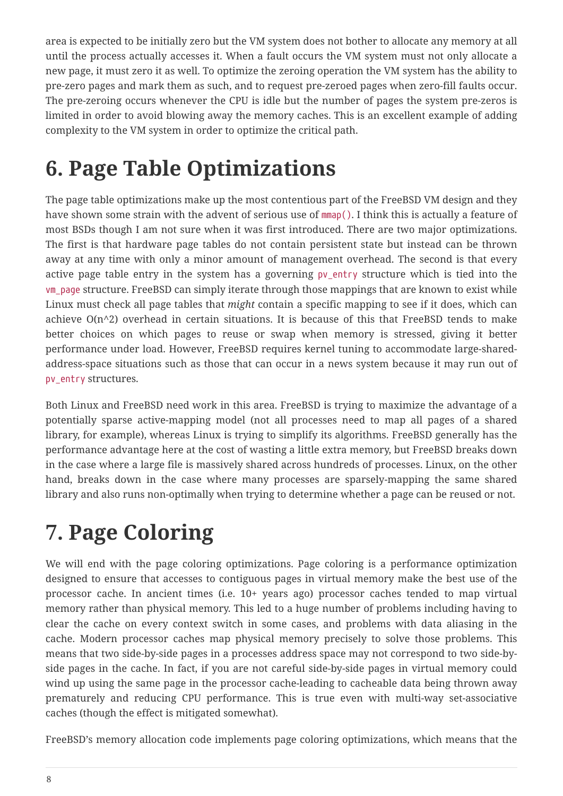area is expected to be initially zero but the VM system does not bother to allocate any memory at all until the process actually accesses it. When a fault occurs the VM system must not only allocate a new page, it must zero it as well. To optimize the zeroing operation the VM system has the ability to pre-zero pages and mark them as such, and to request pre-zeroed pages when zero-fill faults occur. The pre-zeroing occurs whenever the CPU is idle but the number of pages the system pre-zeros is limited in order to avoid blowing away the memory caches. This is an excellent example of adding complexity to the VM system in order to optimize the critical path.

## <span id="page-7-0"></span>**6. Page Table Optimizations**

The page table optimizations make up the most contentious part of the FreeBSD VM design and they have shown some strain with the advent of serious use of mmap(). I think this is actually a feature of most BSDs though I am not sure when it was first introduced. There are two major optimizations. The first is that hardware page tables do not contain persistent state but instead can be thrown away at any time with only a minor amount of management overhead. The second is that every active page table entry in the system has a governing pv\_entry structure which is tied into the vm\_page structure. FreeBSD can simply iterate through those mappings that are known to exist while Linux must check all page tables that *might* contain a specific mapping to see if it does, which can achieve  $O(n^2)$  overhead in certain situations. It is because of this that FreeBSD tends to make better choices on which pages to reuse or swap when memory is stressed, giving it better performance under load. However, FreeBSD requires kernel tuning to accommodate large-sharedaddress-space situations such as those that can occur in a news system because it may run out of pv\_entry structures.

Both Linux and FreeBSD need work in this area. FreeBSD is trying to maximize the advantage of a potentially sparse active-mapping model (not all processes need to map all pages of a shared library, for example), whereas Linux is trying to simplify its algorithms. FreeBSD generally has the performance advantage here at the cost of wasting a little extra memory, but FreeBSD breaks down in the case where a large file is massively shared across hundreds of processes. Linux, on the other hand, breaks down in the case where many processes are sparsely-mapping the same shared library and also runs non-optimally when trying to determine whether a page can be reused or not.

## <span id="page-7-1"></span>**7. Page Coloring**

We will end with the page coloring optimizations. Page coloring is a performance optimization designed to ensure that accesses to contiguous pages in virtual memory make the best use of the processor cache. In ancient times (i.e. 10+ years ago) processor caches tended to map virtual memory rather than physical memory. This led to a huge number of problems including having to clear the cache on every context switch in some cases, and problems with data aliasing in the cache. Modern processor caches map physical memory precisely to solve those problems. This means that two side-by-side pages in a processes address space may not correspond to two side-byside pages in the cache. In fact, if you are not careful side-by-side pages in virtual memory could wind up using the same page in the processor cache-leading to cacheable data being thrown away prematurely and reducing CPU performance. This is true even with multi-way set-associative caches (though the effect is mitigated somewhat).

FreeBSD's memory allocation code implements page coloring optimizations, which means that the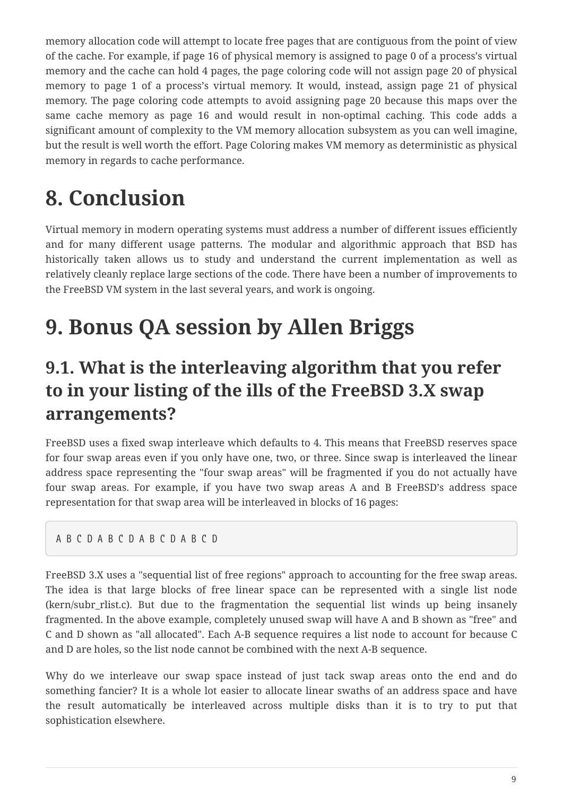memory allocation code will attempt to locate free pages that are contiguous from the point of view of the cache. For example, if page 16 of physical memory is assigned to page 0 of a process's virtual memory and the cache can hold 4 pages, the page coloring code will not assign page 20 of physical memory to page 1 of a process's virtual memory. It would, instead, assign page 21 of physical memory. The page coloring code attempts to avoid assigning page 20 because this maps over the same cache memory as page 16 and would result in non-optimal caching. This code adds a significant amount of complexity to the VM memory allocation subsystem as you can well imagine, but the result is well worth the effort. Page Coloring makes VM memory as deterministic as physical memory in regards to cache performance.

## <span id="page-8-0"></span>**8. Conclusion**

Virtual memory in modern operating systems must address a number of different issues efficiently and for many different usage patterns. The modular and algorithmic approach that BSD has historically taken allows us to study and understand the current implementation as well as relatively cleanly replace large sections of the code. There have been a number of improvements to the FreeBSD VM system in the last several years, and work is ongoing.

## <span id="page-8-1"></span>**9. Bonus QA session by Allen Briggs**

#### **9.1. What is the interleaving algorithm that you refer to in your listing of the ills of the FreeBSD 3.X swap arrangements?**

FreeBSD uses a fixed swap interleave which defaults to 4. This means that FreeBSD reserves space for four swap areas even if you only have one, two, or three. Since swap is interleaved the linear address space representing the "four swap areas" will be fragmented if you do not actually have four swap areas. For example, if you have two swap areas A and B FreeBSD's address space representation for that swap area will be interleaved in blocks of 16 pages:

#### A B C D A B C D A B C D A B C D

FreeBSD 3.X uses a "sequential list of free regions" approach to accounting for the free swap areas. The idea is that large blocks of free linear space can be represented with a single list node (kern/subr rlist.c). But due to the fragmentation the sequential list winds up being insanely fragmented. In the above example, completely unused swap will have A and B shown as "free" and C and D shown as "all allocated". Each A-B sequence requires a list node to account for because C and D are holes, so the list node cannot be combined with the next A-B sequence.

Why do we interleave our swap space instead of just tack swap areas onto the end and do something fancier? It is a whole lot easier to allocate linear swaths of an address space and have the result automatically be interleaved across multiple disks than it is to try to put that sophistication elsewhere.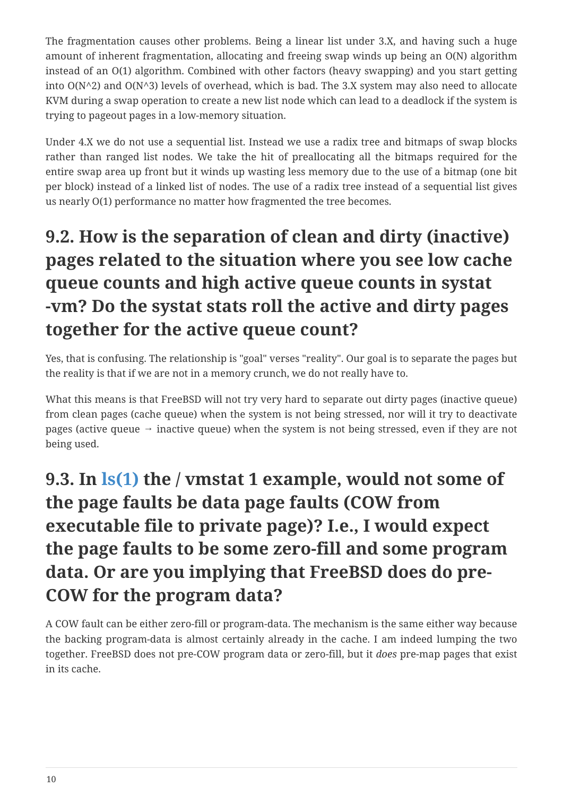The fragmentation causes other problems. Being a linear list under 3.X, and having such a huge amount of inherent fragmentation, allocating and freeing swap winds up being an O(N) algorithm instead of an O(1) algorithm. Combined with other factors (heavy swapping) and you start getting into  $O(N^2)$  and  $O(N^3)$  levels of overhead, which is bad. The 3.X system may also need to allocate KVM during a swap operation to create a new list node which can lead to a deadlock if the system is trying to pageout pages in a low-memory situation.

Under 4.X we do not use a sequential list. Instead we use a radix tree and bitmaps of swap blocks rather than ranged list nodes. We take the hit of preallocating all the bitmaps required for the entire swap area up front but it winds up wasting less memory due to the use of a bitmap (one bit per block) instead of a linked list of nodes. The use of a radix tree instead of a sequential list gives us nearly O(1) performance no matter how fragmented the tree becomes.

#### **9.2. How is the separation of clean and dirty (inactive) pages related to the situation where you see low cache queue counts and high active queue counts in systat -vm? Do the systat stats roll the active and dirty pages together for the active queue count?**

Yes, that is confusing. The relationship is "goal" verses "reality". Our goal is to separate the pages but the reality is that if we are not in a memory crunch, we do not really have to.

What this means is that FreeBSD will not try very hard to separate out dirty pages (inactive queue) from clean pages (cache queue) when the system is not being stressed, nor will it try to deactivate pages (active queue  $\rightarrow$  inactive queue) when the system is not being stressed, even if they are not being used.

#### **9.3. In [ls\(1\)](https://www.freebsd.org/cgi/man.cgi?query=ls&sektion=1&format=html) the / vmstat 1 example, would not some of the page faults be data page faults (COW from executable file to private page)? I.e., I would expect the page faults to be some zero-fill and some program data. Or are you implying that FreeBSD does do pre-COW for the program data?**

A COW fault can be either zero-fill or program-data. The mechanism is the same either way because the backing program-data is almost certainly already in the cache. I am indeed lumping the two together. FreeBSD does not pre-COW program data or zero-fill, but it *does* pre-map pages that exist in its cache.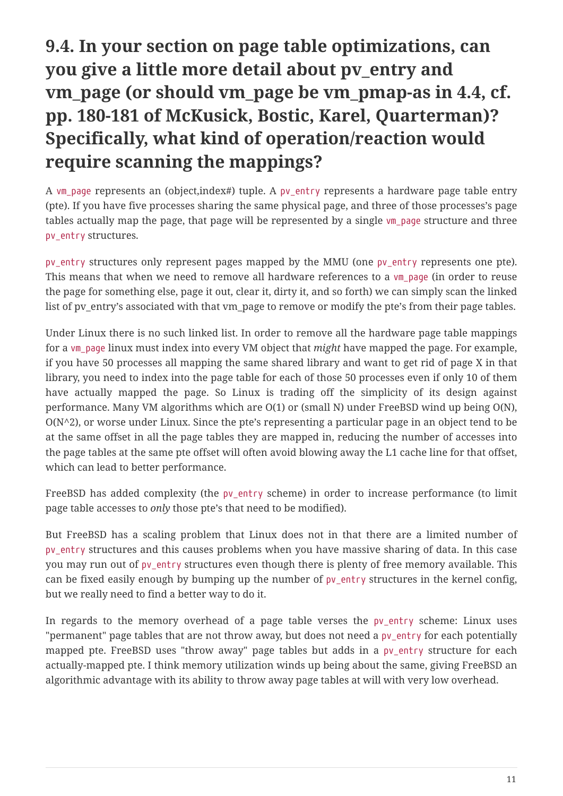#### **9.4. In your section on page table optimizations, can you give a little more detail about pv\_entry and vm\_page (or should vm\_page be vm\_pmap-as in 4.4, cf. pp. 180-181 of McKusick, Bostic, Karel, Quarterman)? Specifically, what kind of operation/reaction would require scanning the mappings?**

A vm page represents an (object,index#) tuple. A pv\_entry represents a hardware page table entry (pte). If you have five processes sharing the same physical page, and three of those processes's page tables actually map the page, that page will be represented by a single vm\_page structure and three pv\_entry structures.

pv\_entry structures only represent pages mapped by the MMU (one pv\_entry represents one pte). This means that when we need to remove all hardware references to a vm\_page (in order to reuse the page for something else, page it out, clear it, dirty it, and so forth) we can simply scan the linked list of pv\_entry's associated with that vm\_page to remove or modify the pte's from their page tables.

Under Linux there is no such linked list. In order to remove all the hardware page table mappings for a vm\_page linux must index into every VM object that *might* have mapped the page. For example, if you have 50 processes all mapping the same shared library and want to get rid of page X in that library, you need to index into the page table for each of those 50 processes even if only 10 of them have actually mapped the page. So Linux is trading off the simplicity of its design against performance. Many VM algorithms which are O(1) or (small N) under FreeBSD wind up being O(N), O(N^2), or worse under Linux. Since the pte's representing a particular page in an object tend to be at the same offset in all the page tables they are mapped in, reducing the number of accesses into the page tables at the same pte offset will often avoid blowing away the L1 cache line for that offset, which can lead to better performance.

FreeBSD has added complexity (the pv\_entry scheme) in order to increase performance (to limit page table accesses to *only* those pte's that need to be modified).

But FreeBSD has a scaling problem that Linux does not in that there are a limited number of pv\_entry structures and this causes problems when you have massive sharing of data. In this case you may run out of py entry structures even though there is plenty of free memory available. This can be fixed easily enough by bumping up the number of pv\_entry structures in the kernel config, but we really need to find a better way to do it.

In regards to the memory overhead of a page table verses the pv\_entry scheme: Linux uses "permanent" page tables that are not throw away, but does not need a pv\_entry for each potentially mapped pte. FreeBSD uses "throw away" page tables but adds in a pv\_entry structure for each actually-mapped pte. I think memory utilization winds up being about the same, giving FreeBSD an algorithmic advantage with its ability to throw away page tables at will with very low overhead.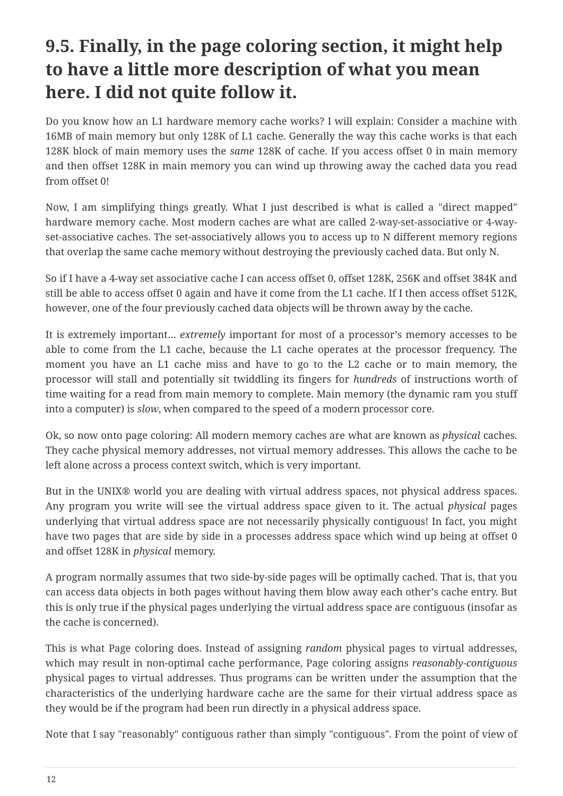#### **9.5. Finally, in the page coloring section, it might help to have a little more description of what you mean here. I did not quite follow it.**

Do you know how an L1 hardware memory cache works? I will explain: Consider a machine with 16MB of main memory but only 128K of L1 cache. Generally the way this cache works is that each 128K block of main memory uses the *same* 128K of cache. If you access offset 0 in main memory and then offset 128K in main memory you can wind up throwing away the cached data you read from offset 0!

Now, I am simplifying things greatly. What I just described is what is called a "direct mapped" hardware memory cache. Most modern caches are what are called 2-way-set-associative or 4-wayset-associative caches. The set-associatively allows you to access up to N different memory regions that overlap the same cache memory without destroying the previously cached data. But only N.

So if I have a 4-way set associative cache I can access offset 0, offset 128K, 256K and offset 384K and still be able to access offset 0 again and have it come from the L1 cache. If I then access offset 512K, however, one of the four previously cached data objects will be thrown away by the cache.

It is extremely important… *extremely* important for most of a processor's memory accesses to be able to come from the L1 cache, because the L1 cache operates at the processor frequency. The moment you have an L1 cache miss and have to go to the L2 cache or to main memory, the processor will stall and potentially sit twiddling its fingers for *hundreds* of instructions worth of time waiting for a read from main memory to complete. Main memory (the dynamic ram you stuff into a computer) is *slow*, when compared to the speed of a modern processor core.

Ok, so now onto page coloring: All modern memory caches are what are known as *physical* caches. They cache physical memory addresses, not virtual memory addresses. This allows the cache to be left alone across a process context switch, which is very important.

But in the UNIX® world you are dealing with virtual address spaces, not physical address spaces. Any program you write will see the virtual address space given to it. The actual *physical* pages underlying that virtual address space are not necessarily physically contiguous! In fact, you might have two pages that are side by side in a processes address space which wind up being at offset 0 and offset 128K in *physical* memory.

A program normally assumes that two side-by-side pages will be optimally cached. That is, that you can access data objects in both pages without having them blow away each other's cache entry. But this is only true if the physical pages underlying the virtual address space are contiguous (insofar as the cache is concerned).

This is what Page coloring does. Instead of assigning *random* physical pages to virtual addresses, which may result in non-optimal cache performance, Page coloring assigns *reasonably-contiguous* physical pages to virtual addresses. Thus programs can be written under the assumption that the characteristics of the underlying hardware cache are the same for their virtual address space as they would be if the program had been run directly in a physical address space.

Note that I say "reasonably" contiguous rather than simply "contiguous". From the point of view of